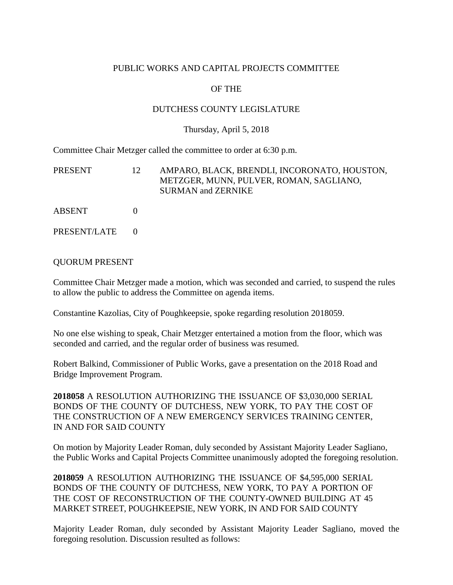## PUBLIC WORKS AND CAPITAL PROJECTS COMMITTEE

# OF THE

## DUTCHESS COUNTY LEGISLATURE

#### Thursday, April 5, 2018

Committee Chair Metzger called the committee to order at 6:30 p.m.

| PRESENT      | 12 | AMPARO, BLACK, BRENDLI, INCORONATO, HOUSTON,<br>METZGER, MUNN, PULVER, ROMAN, SAGLIANO,<br><b>SURMAN and ZERNIKE</b> |
|--------------|----|----------------------------------------------------------------------------------------------------------------------|
| ABSENT       |    |                                                                                                                      |
| PRESENT/LATE |    |                                                                                                                      |

#### QUORUM PRESENT

Committee Chair Metzger made a motion, which was seconded and carried, to suspend the rules to allow the public to address the Committee on agenda items.

Constantine Kazolias, City of Poughkeepsie, spoke regarding resolution 2018059.

No one else wishing to speak, Chair Metzger entertained a motion from the floor, which was seconded and carried, and the regular order of business was resumed.

Robert Balkind, Commissioner of Public Works, gave a presentation on the 2018 Road and Bridge Improvement Program.

**2018058** A RESOLUTION AUTHORIZING THE ISSUANCE OF \$3,030,000 SERIAL BONDS OF THE COUNTY OF DUTCHESS, NEW YORK, TO PAY THE COST OF THE CONSTRUCTION OF A NEW EMERGENCY SERVICES TRAINING CENTER, IN AND FOR SAID COUNTY

On motion by Majority Leader Roman, duly seconded by Assistant Majority Leader Sagliano, the Public Works and Capital Projects Committee unanimously adopted the foregoing resolution.

**2018059** A RESOLUTION AUTHORIZING THE ISSUANCE OF \$4,595,000 SERIAL BONDS OF THE COUNTY OF DUTCHESS, NEW YORK, TO PAY A PORTION OF THE COST OF RECONSTRUCTION OF THE COUNTY-OWNED BUILDING AT 45 MARKET STREET, POUGHKEEPSIE, NEW YORK, IN AND FOR SAID COUNTY

Majority Leader Roman, duly seconded by Assistant Majority Leader Sagliano, moved the foregoing resolution. Discussion resulted as follows: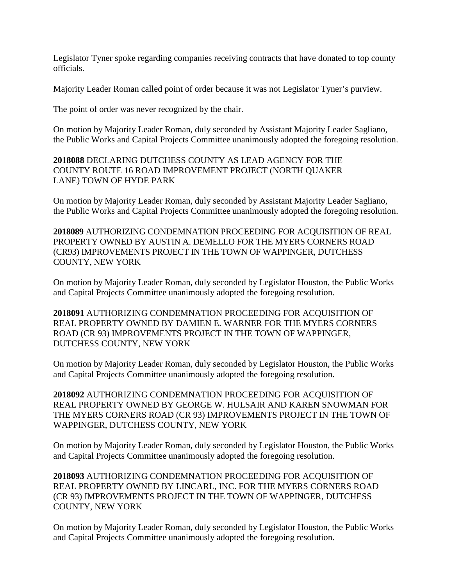Legislator Tyner spoke regarding companies receiving contracts that have donated to top county officials.

Majority Leader Roman called point of order because it was not Legislator Tyner's purview.

The point of order was never recognized by the chair.

On motion by Majority Leader Roman, duly seconded by Assistant Majority Leader Sagliano, the Public Works and Capital Projects Committee unanimously adopted the foregoing resolution.

**2018088** DECLARING DUTCHESS COUNTY AS LEAD AGENCY FOR THE COUNTY ROUTE 16 ROAD IMPROVEMENT PROJECT (NORTH QUAKER LANE) TOWN OF HYDE PARK

On motion by Majority Leader Roman, duly seconded by Assistant Majority Leader Sagliano, the Public Works and Capital Projects Committee unanimously adopted the foregoing resolution.

**2018089** AUTHORIZING CONDEMNATION PROCEEDING FOR ACQUISITION OF REAL PROPERTY OWNED BY AUSTIN A. DEMELLO FOR THE MYERS CORNERS ROAD (CR93) IMPROVEMENTS PROJECT IN THE TOWN OF WAPPINGER, DUTCHESS COUNTY, NEW YORK

On motion by Majority Leader Roman, duly seconded by Legislator Houston, the Public Works and Capital Projects Committee unanimously adopted the foregoing resolution.

**2018091** AUTHORIZING CONDEMNATION PROCEEDING FOR ACQUISITION OF REAL PROPERTY OWNED BY DAMIEN E. WARNER FOR THE MYERS CORNERS ROAD (CR 93) IMPROVEMENTS PROJECT IN THE TOWN OF WAPPINGER, DUTCHESS COUNTY, NEW YORK

On motion by Majority Leader Roman, duly seconded by Legislator Houston, the Public Works and Capital Projects Committee unanimously adopted the foregoing resolution.

**2018092** AUTHORIZING CONDEMNATION PROCEEDING FOR ACQUISITION OF REAL PROPERTY OWNED BY GEORGE W. HULSAIR AND KAREN SNOWMAN FOR THE MYERS CORNERS ROAD (CR 93) IMPROVEMENTS PROJECT IN THE TOWN OF WAPPINGER, DUTCHESS COUNTY, NEW YORK

On motion by Majority Leader Roman, duly seconded by Legislator Houston, the Public Works and Capital Projects Committee unanimously adopted the foregoing resolution.

**2018093** AUTHORIZING CONDEMNATION PROCEEDING FOR ACQUISITION OF REAL PROPERTY OWNED BY LINCARL, INC. FOR THE MYERS CORNERS ROAD (CR 93) IMPROVEMENTS PROJECT IN THE TOWN OF WAPPINGER, DUTCHESS COUNTY, NEW YORK

On motion by Majority Leader Roman, duly seconded by Legislator Houston, the Public Works and Capital Projects Committee unanimously adopted the foregoing resolution.